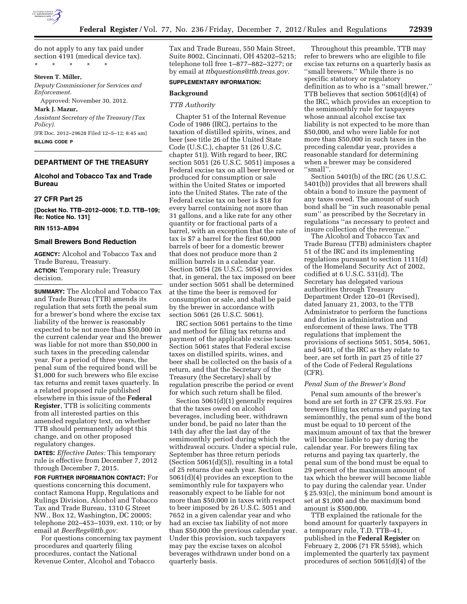

#### \* \* \* \* \*

### **Steven T. Miller,**

*Deputy Commissioner for Services and Enforcement.* 

Approved: November 30, 2012.

**Mark J. Mazur,**  *Assistant Secretary of the Treasury (Tax Policy).*  [FR Doc. 2012–29628 Filed 12–5–12; 8:45 am]

**BILLING CODE P** 

## **DEPARTMENT OF THE TREASURY**

# **Alcohol and Tobacco Tax and Trade Bureau**

## **27 CFR Part 25**

**[Docket No. TTB–2012–0006; T.D. TTB–109; Re: Notice No. 131]** 

# **RIN 1513–AB94**

## **Small Brewers Bond Reduction**

**AGENCY:** Alcohol and Tobacco Tax and Trade Bureau, Treasury. **ACTION:** Temporary rule; Treasury decision.

**SUMMARY:** The Alcohol and Tobacco Tax and Trade Bureau (TTB) amends its regulation that sets forth the penal sum for a brewer's bond where the excise tax liability of the brewer is reasonably expected to be not more than \$50,000 in the current calendar year and the brewer was liable for not more than \$50,000 in such taxes in the preceding calendar year. For a period of three years, the penal sum of the required bond will be \$1,000 for such brewers who file excise tax returns and remit taxes quarterly. In a related proposed rule published elsewhere in this issue of the **Federal Register**, TTB is soliciting comments from all interested parties on this amended regulatory text, on whether TTB should permanently adopt this change, and on other proposed regulatory changes.

**DATES:** *Effective Dates:* This temporary rule is effective from December 7, 2012 through December 7, 2015.

**FOR FURTHER INFORMATION CONTACT:** For questions concerning this document, contact Ramona Hupp, Regulations and Rulings Division, Alcohol and Tobacco Tax and Trade Bureau, 1310 G Street NW., Box 12, Washington, DC 20005; telephone 202–453–1039, ext. 110; or by email at *[BeerRegs@ttb.gov.](mailto:BeerRegs@ttb.gov)* 

For questions concerning tax payment procedures and quarterly filing procedures, contact the National Revenue Center, Alcohol and Tobacco

Tax and Trade Bureau, 550 Main Street, Suite 8002, Cincinnati, OH 45202–5215; telephone toll free 1–877–882–3277; or by email at *[ttbquestions@ttb.treas.gov.](mailto:ttbquestions@ttb.treas.gov)* 

## **SUPPLEMENTARY INFORMATION:**

## **Background**

## *TTB Authority*

Chapter 51 of the Internal Revenue Code of 1986 (IRC), pertains to the taxation of distilled spirits, wines, and beer (see title 26 of the United State Code (U.S.C.), chapter 51 (26 U.S.C. chapter 51)). With regard to beer, IRC section 5051 (26 U.S.C. 5051) imposes a Federal excise tax on all beer brewed or produced for consumption or sale within the United States or imported into the United States. The rate of the Federal excise tax on beer is \$18 for every barrel containing not more than 31 gallons, and a like rate for any other quantity or for fractional parts of a barrel, with an exception that the rate of tax is \$7 a barrel for the first 60,000 barrels of beer for a domestic brewer that does not produce more than 2 million barrels in a calendar year. Section 5054 (26 U.S.C. 5054) provides that, in general, the tax imposed on beer under section 5051 shall be determined at the time the beer is removed for consumption or sale, and shall be paid by the brewer in accordance with section 5061 (26 U.S.C. 5061).

IRC section 5061 pertains to the time and method for filing tax returns and payment of the applicable excise taxes. Section 5061 states that Federal excise taxes on distilled spirits, wines, and beer shall be collected on the basis of a return, and that the Secretary of the Treasury (the Secretary) shall by regulation prescribe the period or event for which such return shall be filed.

Section 5061(d)(1) generally requires that the taxes owed on alcohol beverages, including beer, withdrawn under bond, be paid no later than the 14th day after the last day of the semimonthly period during which the withdrawal occurs. Under a special rule, September has three return periods (Section 5061(d)(5)), resulting in a total of 25 returns due each year. Section 5061(d)(4) provides an exception to the semimonthly rule for taxpayers who reasonably expect to be liable for not more than \$50,000 in taxes with respect to beer imposed by 26 U.S.C. 5051 and 7652 in a given calendar year and who had an excise tax liability of not more than \$50,000 the previous calendar year. Under this provision, such taxpayers may pay the excise taxes on alcohol beverages withdrawn under bond on a quarterly basis.

Throughout this preamble, TTB may refer to brewers who are eligible to file excise tax returns on a quarterly basis as ''small brewers.'' While there is no specific statutory or regulatory definition as to who is a ''small brewer,'' TTB believes that section 5061(d)(4) of the IRC, which provides an exception to the semimonthly rule for taxpayers whose annual alcohol excise tax liability is not expected to be more than \$50,000, and who were liable for not more than \$50,000 in such taxes in the preceding calendar year, provides a reasonable standard for determining when a brewer may be considered ''small''.

Section 5401(b) of the IRC (26 U.S.C. 5401(b)) provides that all brewers shall obtain a bond to insure the payment of any taxes owed. The amount of such bond shall be ''in such reasonable penal sum'' as prescribed by the Secretary in regulations ''as necessary to protect and insure collection of the revenue.''

The Alcohol and Tobacco Tax and Trade Bureau (TTB) administers chapter 51 of the IRC and its implementing regulations pursuant to section 1111(d) of the Homeland Security Act of 2002, codified at 6 U.S.C. 531(d). The Secretary has delegated various authorities through Treasury Department Order 120–01 (Revised), dated January 21, 2003, to the TTB Administrator to perform the functions and duties in administration and enforcement of these laws. The TTB regulations that implement the provisions of sections 5051, 5054, 5061, and 5401, of the IRC as they relate to beer, are set forth in part 25 of title 27 of the Code of Federal Regulations (CFR).

#### *Penal Sum of the Brewer's Bond*

Penal sum amounts of the brewer's bond are set forth in 27 CFR 25.93. For brewers filing tax returns and paying tax semimonthly, the penal sum of the bond must be equal to 10 percent of the maximum amount of tax that the brewer will become liable to pay during the calendar year. For brewers filing tax returns and paying tax quarterly, the penal sum of the bond must be equal to 29 percent of the maximum amount of tax which the brewer will become liable to pay during the calendar year. Under § 25.93(c), the minimum bond amount is set at \$1,000 and the maximum bond amount is \$500,000.

TTB explained the rationale for the bond amount for quarterly taxpayers in a temporary rule, T.D. TTB–41, published in the **Federal Register** on February 2, 2006 (71 FR 5598), which implemented the quarterly tax payment procedures of section 5061(d)(4) of the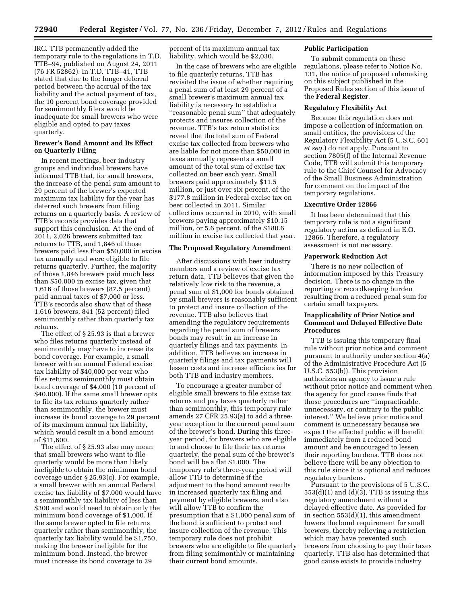IRC. TTB permanently added the temporary rule to the regulations in T.D. TTB–94, published on August 24, 2011 (76 FR 52862). In T.D. TTB–41, TTB stated that due to the longer deferral period between the accrual of the tax liability and the actual payment of tax, the 10 percent bond coverage provided for semimonthly filers would be inadequate for small brewers who were eligible and opted to pay taxes quarterly.

## **Brewer's Bond Amount and Its Effect on Quarterly Filing**

In recent meetings, beer industry groups and individual brewers have informed TTB that, for small brewers, the increase of the penal sum amount to 29 percent of the brewer's expected maximum tax liability for the year has deterred such brewers from filing returns on a quarterly basis. A review of TTB's records provides data that support this conclusion. At the end of 2011, 2,026 brewers submitted tax returns to TTB, and 1,846 of those brewers paid less than \$50,000 in excise tax annually and were eligible to file returns quarterly. Further, the majority of those 1,846 brewers paid much less than \$50,000 in excise tax, given that 1,616 of those brewers (87.5 percent) paid annual taxes of \$7,000 or less. TTB's records also show that of these 1,616 brewers, 841 (52 percent) filed semimonthly rather than quarterly tax returns.

The effect of § 25.93 is that a brewer who files returns quarterly instead of semimonthly may have to increase its bond coverage. For example, a small brewer with an annual Federal excise tax liability of \$40,000 per year who files returns semimonthly must obtain bond coverage of \$4,000 (10 percent of \$40,000). If the same small brewer opts to file its tax returns quarterly rather than semimonthly, the brewer must increase its bond coverage to 29 percent of its maximum annual tax liability, which would result in a bond amount of \$11,600.

The effect of § 25.93 also may mean that small brewers who want to file quarterly would be more than likely ineligible to obtain the minimum bond coverage under § 25.93(c). For example, a small brewer with an annual Federal excise tax liability of \$7,000 would have a semimonthly tax liability of less than \$300 and would need to obtain only the minimum bond coverage of \$1,000. If the same brewer opted to file returns quarterly rather than semimonthly, the quarterly tax liability would be \$1,750, making the brewer ineligible for the minimum bond. Instead, the brewer must increase its bond coverage to 29

percent of its maximum annual tax liability, which would be \$2,030.

In the case of brewers who are eligible to file quarterly returns, TTB has revisited the issue of whether requiring a penal sum of at least 29 percent of a small brewer's maximum annual tax liability is necessary to establish a ''reasonable penal sum'' that adequately protects and insures collection of the revenue. TTB's tax return statistics reveal that the total sum of Federal excise tax collected from brewers who are liable for not more than \$50,000 in taxes annually represents a small amount of the total sum of excise tax collected on beer each year. Small brewers paid approximately \$11.5 million, or just over six percent, of the \$177.8 million in Federal excise tax on beer collected in 2011. Similar collections occurred in 2010, with small brewers paying approximately \$10.15 million, or 5.6 percent, of the \$180.6 million in excise tax collected that year.

#### **The Proposed Regulatory Amendment**

After discussions with beer industry members and a review of excise tax return data, TTB believes that given the relatively low risk to the revenue, a penal sum of \$1,000 for bonds obtained by small brewers is reasonably sufficient to protect and insure collection of the revenue. TTB also believes that amending the regulatory requirements regarding the penal sum of brewers bonds may result in an increase in quarterly filings and tax payments. In addition, TTB believes an increase in quarterly filings and tax payments will lessen costs and increase efficiencies for both TTB and industry members.

To encourage a greater number of eligible small brewers to file excise tax returns and pay taxes quarterly rather than semimonthly, this temporary rule amends 27 CFR 25.93(a) to add a threeyear exception to the current penal sum of the brewer's bond. During this threeyear period, for brewers who are eligible to and choose to file their tax returns quarterly, the penal sum of the brewer's bond will be a flat \$1,000. The temporary rule's three-year period will allow TTB to determine if the adjustment to the bond amount results in increased quarterly tax filing and payment by eligible brewers, and also will allow TTB to confirm the presumption that a \$1,000 penal sum of the bond is sufficient to protect and insure collection of the revenue. This temporary rule does not prohibit brewers who are eligible to file quarterly from filing semimonthly or maintaining their current bond amounts.

## **Public Participation**

To submit comments on these regulations, please refer to Notice No. 131, the notice of proposed rulemaking on this subject published in the Proposed Rules section of this issue of the **Federal Register**.

#### **Regulatory Flexibility Act**

Because this regulation does not impose a collection of information on small entities, the provisions of the Regulatory Flexibility Act (5 U.S.C. 601 *et seq.*) do not apply. Pursuant to section 7805(f) of the Internal Revenue Code, TTB will submit this temporary rule to the Chief Counsel for Advocacy of the Small Business Administration for comment on the impact of the temporary regulations.

#### **Executive Order 12866**

It has been determined that this temporary rule is not a significant regulatory action as defined in E.O. 12866. Therefore, a regulatory assessment is not necessary.

## **Paperwork Reduction Act**

There is no new collection of information imposed by this Treasury decision. There is no change in the reporting or recordkeeping burden resulting from a reduced penal sum for certain small taxpayers.

## **Inapplicability of Prior Notice and Comment and Delayed Effective Date Procedures**

TTB is issuing this temporary final rule without prior notice and comment pursuant to authority under section 4(a) of the Administrative Procedure Act (5 U.S.C. 553(b)). This provision authorizes an agency to issue a rule without prior notice and comment when the agency for good cause finds that those procedures are ''impracticable, unnecessary, or contrary to the public interest.'' We believe prior notice and comment is unnecessary because we expect the affected public will benefit immediately from a reduced bond amount and be encouraged to lessen their reporting burdens. TTB does not believe there will be any objection to this rule since it is optional and reduces regulatory burdens.

Pursuant to the provisions of 5 U.S.C.  $553(d)(1)$  and  $(d)(3)$ , TTB is issuing this regulatory amendment without a delayed effective date. As provided for in section 553(d)(1), this amendment lowers the bond requirement for small brewers, thereby relieving a restriction which may have prevented such brewers from choosing to pay their taxes quarterly. TTB also has determined that good cause exists to provide industry